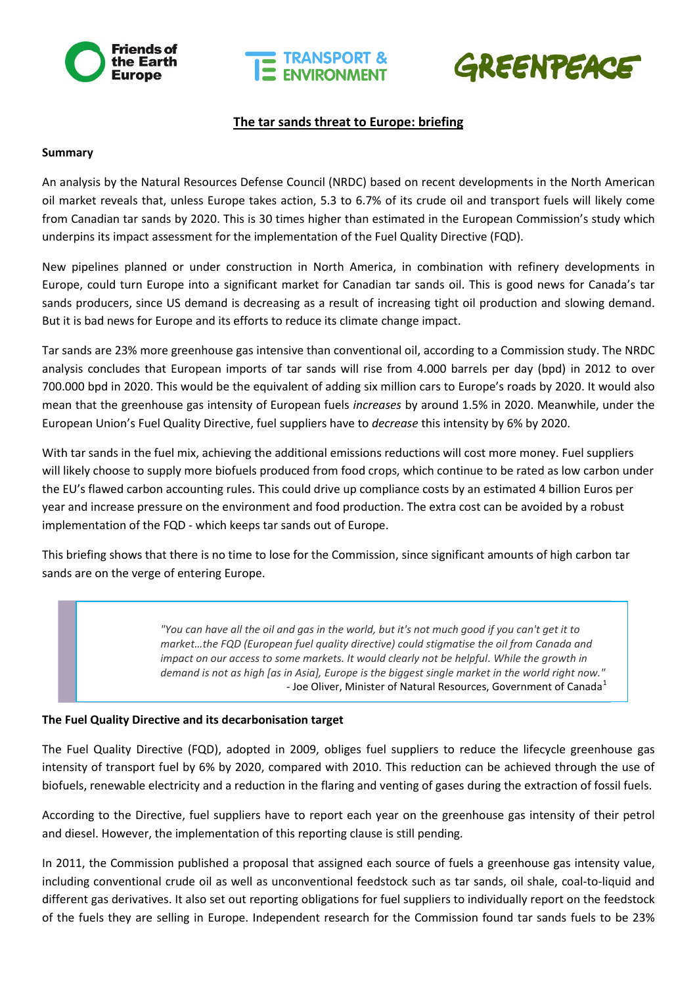





# **The tar sands threat to Europe: briefing**

#### **Summary**

An analysis by the Natural Resources Defense Council (NRDC) based on recent developments in the North American oil market reveals that, unless Europe takes action, 5.3 to 6.7% of its crude oil and transport fuels will likely come from Canadian tar sands by 2020. This is 30 times higher than estimated in the European Commission's study which underpins its impact assessment for the implementation of the Fuel Quality Directive (FQD).

New pipelines planned or under construction in North America, in combination with refinery developments in Europe, could turn Europe into a significant market for Canadian tar sands oil. This is good news for Canada's tar sands producers, since US demand is decreasing as a result of increasing tight oil production and slowing demand. But it is bad news for Europe and its efforts to reduce its climate change impact.

Tar sands are 23% more greenhouse gas intensive than conventional oil, according to a Commission study. The NRDC analysis concludes that European imports of tar sands will rise from 4.000 barrels per day (bpd) in 2012 to over 700.000 bpd in 2020. This would be the equivalent of adding six million cars to Europe's roads by 2020. It would also mean that the greenhouse gas intensity of European fuels *increases* by around 1.5% in 2020. Meanwhile, under the European Union's Fuel Quality Directive, fuel suppliers have to *decrease* this intensity by 6% by 2020.

With tar sands in the fuel mix, achieving the additional emissions reductions will cost more money. Fuel suppliers will likely choose to supply more biofuels produced from food crops, which continue to be rated as low carbon under the EU's flawed carbon accounting rules. This could drive up compliance costs by an estimated 4 billion Euros per year and increase pressure on the environment and food production. The extra cost can be avoided by a robust implementation of the FQD - which keeps tar sands out of Europe.

This briefing shows that there is no time to lose for the Commission, since significant amounts of high carbon tar sands are on the verge of entering Europe.

> *"You can have all the oil and gas in the world, but it's not much good if you can't get it to market…the FQD (European fuel quality directive) could stigmatise the oil from Canada and impact on our access to some markets. It would clearly not be helpful. While the growth in demand is not as high [as in Asia], Europe is the biggest single market in the world right now."* - Joe Oliver, Minister of Natural Resources, Government of Canada $<sup>1</sup>$ </sup>

#### **The Fuel Quality Directive and its decarbonisation target**

The Fuel Quality Directive (FQD), adopted in 2009, obliges fuel suppliers to reduce the lifecycle greenhouse gas intensity of transport fuel by 6% by 2020, compared with 2010. This reduction can be achieved through the use of biofuels, renewable electricity and a reduction in the flaring and venting of gases during the extraction of fossil fuels.

According to the Directive, fuel suppliers have to report each year on the greenhouse gas intensity of their petrol and diesel. However, the implementation of this reporting clause is still pending.

In 2011, the Commission published a proposal that assigned each source of fuels a greenhouse gas intensity value, including conventional crude oil as well as unconventional feedstock such as tar sands, oil shale, coal-to-liquid and different gas derivatives. It also set out reporting obligations for fuel suppliers to individually report on the feedstock of the fuels they are selling in Europe. Independent research for the Commission found tar sands fuels to be 23%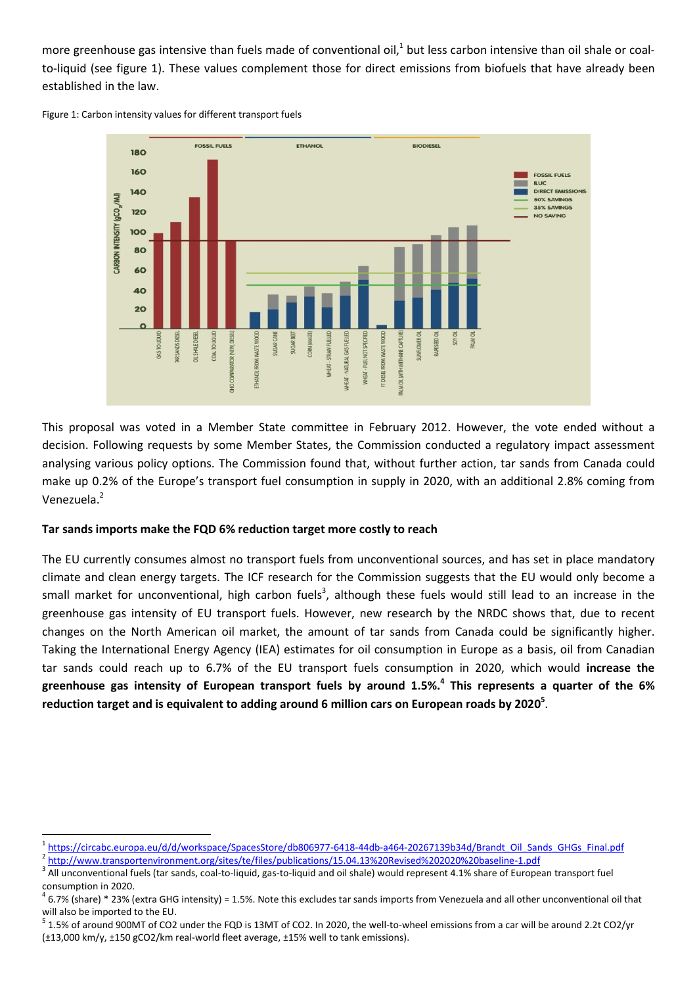more greenhouse gas intensive than fuels made of conventional oil, $^1$  but less carbon intensive than oil shale or coalto-liquid (see figure 1). These values complement those for direct emissions from biofuels that have already been established in the law.

Figure 1: Carbon intensity values for different transport fuels



This proposal was voted in a Member State committee in February 2012. However, the vote ended without a decision. Following requests by some Member States, the Commission conducted a regulatory impact assessment analysing various policy options. The Commission found that, without further action, tar sands from Canada could make up 0.2% of the Europe's transport fuel consumption in supply in 2020, with an additional 2.8% coming from Venezuela.<sup>2</sup>

# **Tar sands imports make the FQD 6% reduction target more costly to reach**

The EU currently consumes almost no transport fuels from unconventional sources, and has set in place mandatory climate and clean energy targets. The ICF research for the Commission suggests that the EU would only become a small market for unconventional, high carbon fuels<sup>3</sup>, although these fuels would still lead to an increase in the greenhouse gas intensity of EU transport fuels. However, new research by the NRDC shows that, due to recent changes on the North American oil market, the amount of tar sands from Canada could be significantly higher. Taking the International Energy Agency (IEA) estimates for oil consumption in Europe as a basis, oil from Canadian tar sands could reach up to 6.7% of the EU transport fuels consumption in 2020, which would **increase the greenhouse gas intensity of European transport fuels by around 1.5%. 4 This represents a quarter of the 6% reduction target and is equivalent to adding around 6 million cars on European roads by 2020<sup>5</sup>** .

<sup>2</sup> <http://www.transportenvironment.org/sites/te/files/publications/15.04.13%20Revised%202020%20baseline-1.pdf>

 1 [https://circabc.europa.eu/d/d/workspace/SpacesStore/db806977-6418-44db-a464-20267139b34d/Brandt\\_Oil\\_Sands\\_GHGs\\_Final.pdf](https://circabc.europa.eu/d/d/workspace/SpacesStore/db806977-6418-44db-a464-20267139b34d/Brandt_Oil_Sands_GHGs_Final.pdf)

 $^3$  All unconventional fuels (tar sands, coal-to-liquid, gas-to-liquid and oil shale) would represent 4.1% share of European transport fuel consumption in 2020.

 $^4$  6.7% (share) \* 23% (extra GHG intensity) = 1.5%. Note this excludes tar sands imports from Venezuela and all other unconventional oil that will also be imported to the EU.

 $5$  1.5% of around 900MT of CO2 under the FQD is 13MT of CO2. In 2020, the well-to-wheel emissions from a car will be around 2.2t CO2/yr (±13,000 km/y, ±150 gCO2/km real-world fleet average, ±15% well to tank emissions).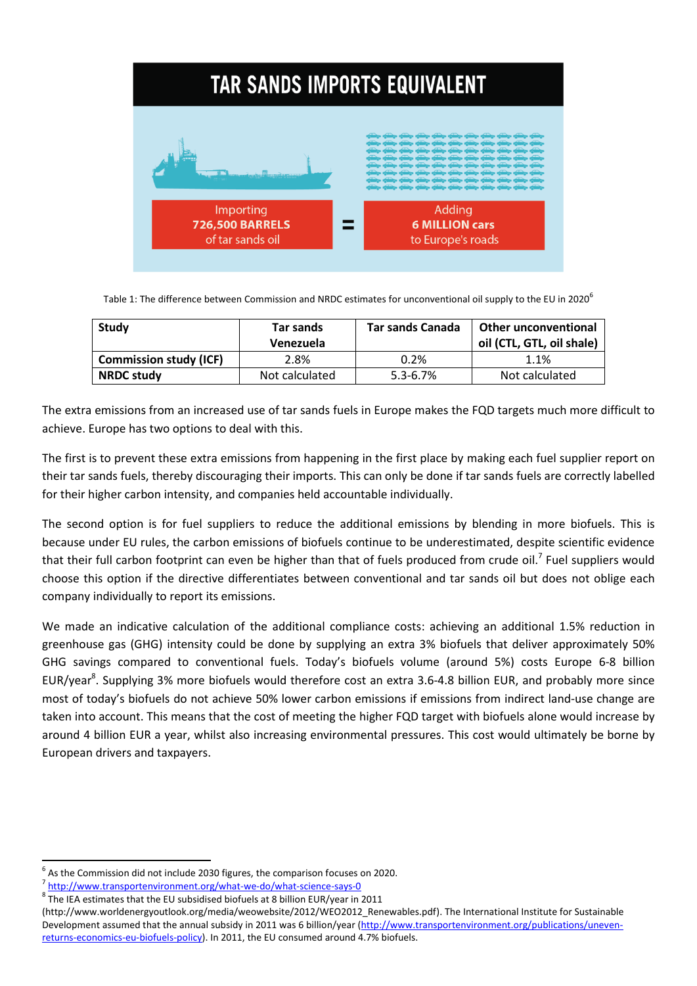

Table 1: The difference between Commission and NRDC estimates for unconventional oil supply to the EU in 2020<sup>6</sup>

| Study                         | Tar sands      | <b>Tar sands Canada</b> | <b>Other unconventional</b> |
|-------------------------------|----------------|-------------------------|-----------------------------|
|                               | Venezuela      |                         | oil (CTL, GTL, oil shale)   |
| <b>Commission study (ICF)</b> | 2.8%           | $0.2\%$                 | 1.1%                        |
| <b>NRDC study</b>             | Not calculated | $5.3 - 6.7%$            | Not calculated              |

The extra emissions from an increased use of tar sands fuels in Europe makes the FQD targets much more difficult to achieve. Europe has two options to deal with this.

The first is to prevent these extra emissions from happening in the first place by making each fuel supplier report on their tar sands fuels, thereby discouraging their imports. This can only be done if tar sands fuels are correctly labelled for their higher carbon intensity, and companies held accountable individually.

The second option is for fuel suppliers to reduce the additional emissions by blending in more biofuels. This is because under EU rules, the carbon emissions of biofuels continue to be underestimated, despite scientific evidence that their full carbon footprint can even be higher than that of fuels produced from crude oil.<sup>7</sup> Fuel suppliers would choose this option if the directive differentiates between conventional and tar sands oil but does not oblige each company individually to report its emissions.

We made an indicative calculation of the additional compliance costs: achieving an additional 1.5% reduction in greenhouse gas (GHG) intensity could be done by supplying an extra 3% biofuels that deliver approximately 50% GHG savings compared to conventional fuels. Today's biofuels volume (around 5%) costs Europe 6-8 billion EUR/year<sup>8</sup>. Supplying 3% more biofuels would therefore cost an extra 3.6-4.8 billion EUR, and probably more since most of today's biofuels do not achieve 50% lower carbon emissions if emissions from indirect land-use change are taken into account. This means that the cost of meeting the higher FQD target with biofuels alone would increase by around 4 billion EUR a year, whilst also increasing environmental pressures. This cost would ultimately be borne by European drivers and taxpayers.

**.** 

 $<sup>6</sup>$  As the Commission did not include 2030 figures, the comparison focuses on 2020.</sup>

<sup>&</sup>lt;sup>7</sup> <http://www.transportenvironment.org/what-we-do/what-science-says-0>

 $^8$  The IEA estimates that the EU subsidised biofuels at 8 billion EUR/year in 2011

[<sup>\(</sup>http://www.worldenergyoutlook.org/media/weowebsite/2012/WEO2012\\_Renewables.pdf\)](http://www.worldenergyoutlook.org/media/weowebsite/2012/WEO2012_Renewables.pdf). The International Institute for Sustainable Development assumed that the annual subsidy in 2011 was 6 billion/year [\(http://www.transportenvironment.org/publications/uneven](http://www.transportenvironment.org/publications/uneven-returns-economics-eu-biofuels-policy)[returns-economics-eu-biofuels-policy\)](http://www.transportenvironment.org/publications/uneven-returns-economics-eu-biofuels-policy). In 2011, the EU consumed around 4.7% biofuels.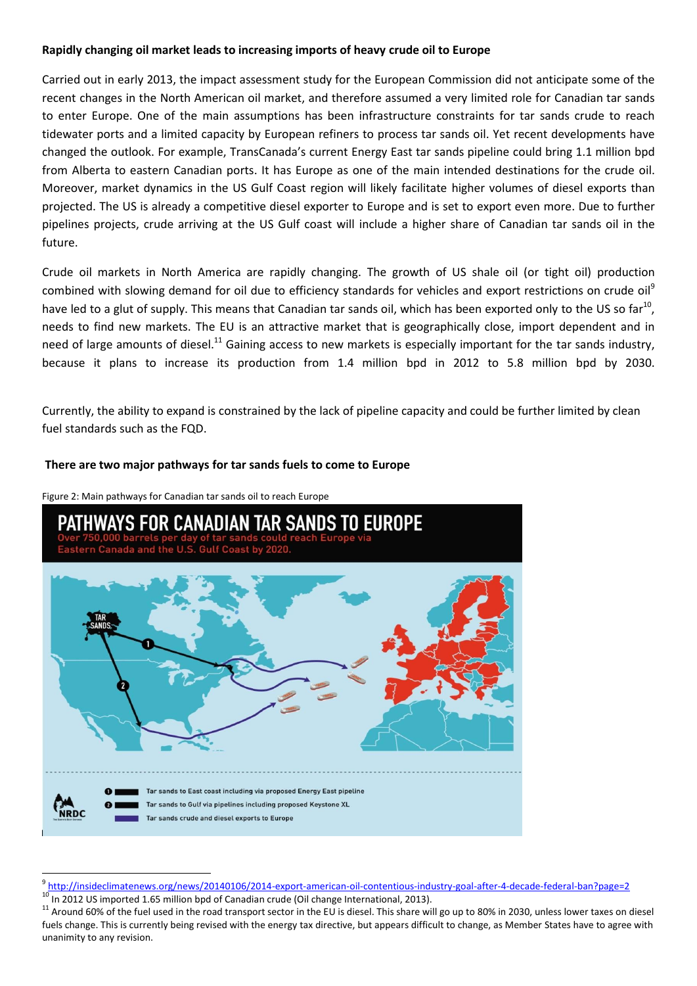## **Rapidly changing oil market leads to increasing imports of heavy crude oil to Europe**

Carried out in early 2013, the impact assessment study for the European Commission did not anticipate some of the recent changes in the North American oil market, and therefore assumed a very limited role for Canadian tar sands to enter Europe. One of the main assumptions has been infrastructure constraints for tar sands crude to reach tidewater ports and a limited capacity by European refiners to process tar sands oil. Yet recent developments have changed the outlook. For example, TransCanada's current Energy East tar sands pipeline could bring 1.1 million bpd from Alberta to eastern Canadian ports. It has Europe as one of the main intended destinations for the crude oil. Moreover, market dynamics in the US Gulf Coast region will likely facilitate higher volumes of diesel exports than projected. The US is already a competitive diesel exporter to Europe and is set to export even more. Due to further pipelines projects, crude arriving at the US Gulf coast will include a higher share of Canadian tar sands oil in the future.

Crude oil markets in North America are rapidly changing. The growth of US shale oil (or tight oil) production combined with slowing demand for oil due to efficiency standards for vehicles and export restrictions on crude oil<sup>9</sup> have led to a glut of supply. This means that Canadian tar sands oil, which has been exported only to the US so far<sup>10</sup>, needs to find new markets. The EU is an attractive market that is geographically close, import dependent and in need of large amounts of diesel.<sup>11</sup> Gaining access to new markets is especially important for the tar sands industry, because it plans to increase its production from 1.4 million bpd in 2012 to 5.8 million bpd by 2030.

Currently, the ability to expand is constrained by the lack of pipeline capacity and could be further limited by clean fuel standards such as the FQD.

#### **There are two major pathways for tar sands fuels to come to Europe**

Figure 2: Main pathways for Canadian tar sands oil to reach Europe

**.** 



<sup>&</sup>lt;sup>9</sup> <http://insideclimatenews.org/news/20140106/2014-export-american-oil-contentious-industry-goal-after-4-decade-federal-ban?page=2> 10 In 2012 US imported 1.65 million bpd of Canadian crude (Oil change International, 2013).

<sup>&</sup>lt;sup>11</sup> Around 60% of the fuel used in the road transport sector in the EU is diesel. This share will go up to 80% in 2030, unless lower taxes on diesel fuels change. This is currently being revised with the energy tax directive, but appears difficult to change, as Member States have to agree with unanimity to any revision.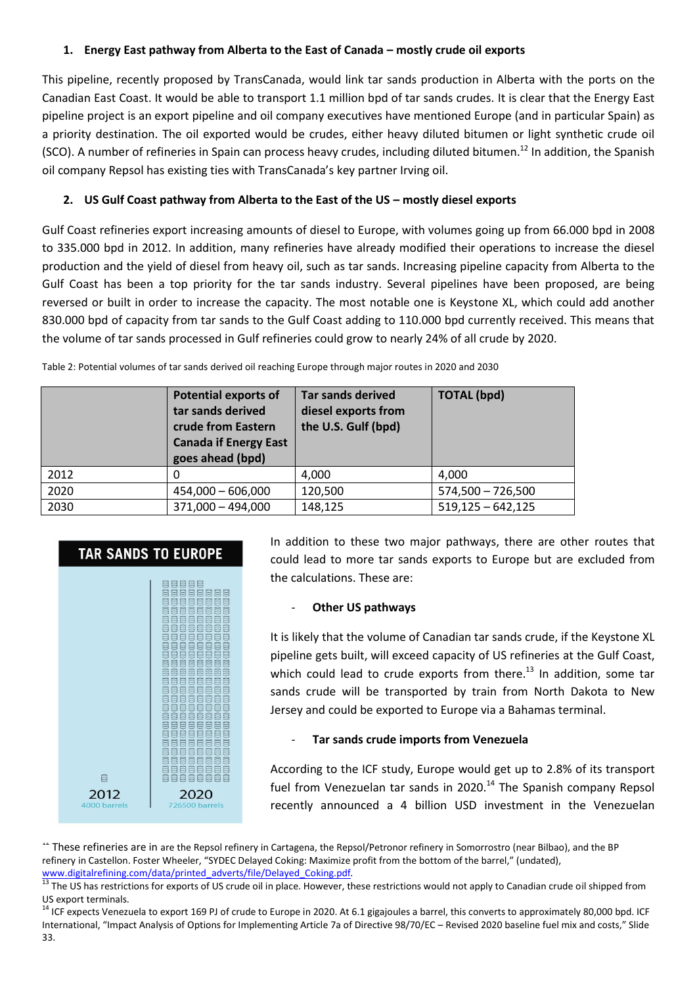# **1. Energy East pathway from Alberta to the East of Canada – mostly crude oil exports**

This pipeline, recently proposed by TransCanada, would link tar sands production in Alberta with the ports on the Canadian East Coast. It would be able to transport 1.1 million bpd of tar sands crudes. It is clear that the Energy East pipeline project is an export pipeline and oil company executives have mentioned Europe (and in particular Spain) as a priority destination. The oil exported would be crudes, either heavy diluted bitumen or light synthetic crude oil (SCO). A number of refineries in Spain can process heavy crudes, including diluted bitumen.<sup>12</sup> In addition, the Spanish oil company Repsol has existing ties with TransCanada's key partner Irving oil.

# **2. US Gulf Coast pathway from Alberta to the East of the US – mostly diesel exports**

Gulf Coast refineries export increasing amounts of diesel to Europe, with volumes going up from 66.000 bpd in 2008 to 335.000 bpd in 2012. In addition, many refineries have already modified their operations to increase the diesel production and the yield of diesel from heavy oil, such as tar sands. Increasing pipeline capacity from Alberta to the Gulf Coast has been a top priority for the tar sands industry. Several pipelines have been proposed, are being reversed or built in order to increase the capacity. The most notable one is Keystone XL, which could add another 830.000 bpd of capacity from tar sands to the Gulf Coast adding to 110.000 bpd currently received. This means that the volume of tar sands processed in Gulf refineries could grow to nearly 24% of all crude by 2020.

Table 2: Potential volumes of tar sands derived oil reaching Europe through major routes in 2020 and 2030

|      | <b>Potential exports of</b><br>tar sands derived<br>crude from Eastern<br><b>Canada if Energy East</b><br>goes ahead (bpd) | <b>Tar sands derived</b><br>diesel exports from<br>the U.S. Gulf (bpd) | <b>TOTAL (bpd)</b>  |
|------|----------------------------------------------------------------------------------------------------------------------------|------------------------------------------------------------------------|---------------------|
| 2012 | $\Omega$                                                                                                                   | 4,000                                                                  | 4,000               |
| 2020 | $454,000 - 606,000$                                                                                                        | 120,500                                                                | $574,500 - 726,500$ |
| 2030 | $371,000 - 494,000$                                                                                                        | 148,125                                                                | $519,125 - 642,125$ |

# **TAR SANDS TO EUROPE** iaaaaaa<br>iaaaaaa<br>iaaa **BEEBEE BUDDUDU** 1989989 aaaaaaaa<br>aaaaaaaa 1989988 aaaaaaaa<br>aaaaaaa 8888886 iaaaaaaa<br>iaaaaaa  $\boxplus$ 8888888 2012 2020 00 barrels

In addition to these two major pathways, there are other routes that could lead to more tar sands exports to Europe but are excluded from the calculations. These are:

#### **Other US pathways**

It is likely that the volume of Canadian tar sands crude, if the Keystone XL pipeline gets built, will exceed capacity of US refineries at the Gulf Coast, which could lead to crude exports from there.<sup>13</sup> In addition, some tar sands crude will be transported by train from North Dakota to New Jersey and could be exported to Europe via a Bahamas terminal.

#### - **Tar sands crude imports from Venezuela**

According to the ICF study, Europe would get up to 2.8% of its transport fuel from Venezuelan tar sands in 2020.<sup>14</sup> The Spanish company Repsol recently announced a 4 billion USD investment in the Venezuelan

<sup>14</sup> These refineries are in are the Repsol refinery in Cartagena, the Repsol/Petronor refinery in Somorrostro (near Bilbao), and the BP refinery in Castellon. Foster Wheeler, "SYDEC Delayed Coking: Maximize profit from the bottom of the barrel," (undated), [www.digitalrefining.com/data/printed\\_adverts/file/Delayed\\_Coking.pdf](http://www.digitalrefining.com/data/printed_adverts/file/Delayed_Coking.pdf)*.*

<sup>&</sup>lt;sup>13</sup> The US has restrictions for exports of US crude oil in place. However, these restrictions would not apply to Canadian crude oil shipped from US export terminals.

<sup>14</sup> ICF expects Venezuela to export 169 PJ of crude to Europe in 2020. At 6.1 gigajoules a barrel, this converts to approximately 80,000 bpd. ICF International, "Impact Analysis of Options for Implementing Article 7a of Directive 98/70/EC – Revised 2020 baseline fuel mix and costs," Slide 33.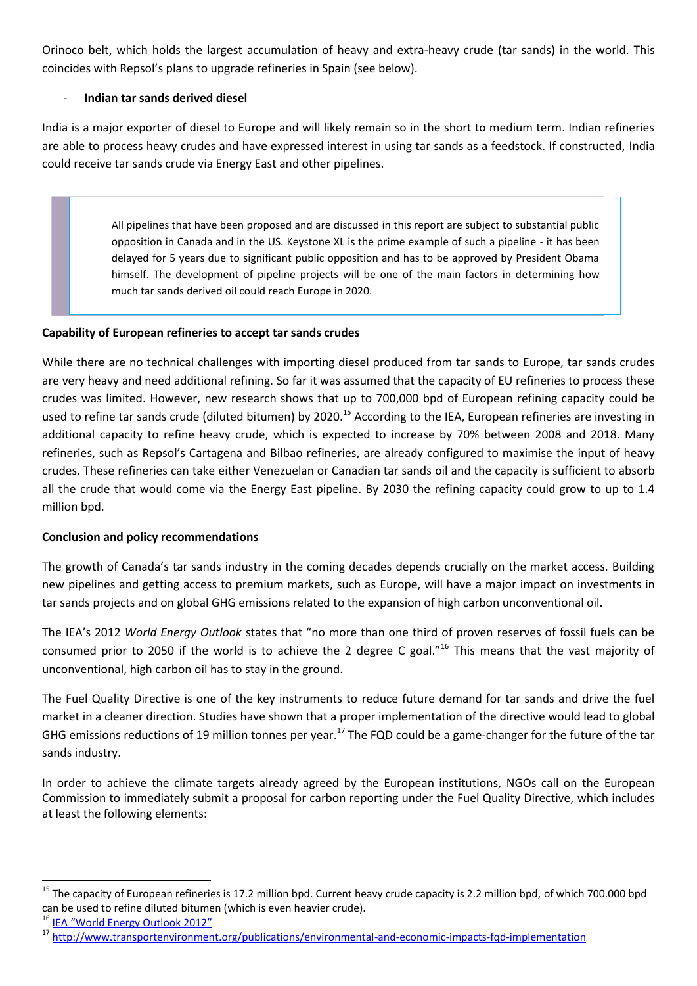Orinoco belt, which holds the largest accumulation of heavy and extra-heavy crude (tar sands) in the world. This coincides with Repsol's plans to upgrade refineries in Spain (see below).

## - **Indian tar sands derived diesel**

India is a major exporter of diesel to Europe and will likely remain so in the short to medium term. Indian refineries are able to process heavy crudes and have expressed interest in using tar sands as a feedstock. If constructed, India could receive tar sands crude via Energy East and other pipelines.

> All pipelines that have been proposed and are discussed in this report are subject to substantial public opposition in Canada and in the US. Keystone XL is the prime example of such a pipeline - it has been delayed for 5 years due to significant public opposition and has to be approved by President Obama himself. The development of pipeline projects will be one of the main factors in determining how much tar sands derived oil could reach Europe in 2020.

## **Capability of European refineries to accept tar sands crudes**

While there are no technical challenges with importing diesel produced from tar sands to Europe, tar sands crudes are very heavy and need additional refining. So far it was assumed that the capacity of EU refineries to process these crudes was limited. However, new research shows that up to 700,000 bpd of European refining capacity could be used to refine tar sands crude (diluted bitumen) by 2020.<sup>15</sup> According to the IEA, European refineries are investing in additional capacity to refine heavy crude, which is expected to increase by 70% between 2008 and 2018. Many refineries, such as Repsol's Cartagena and Bilbao refineries, are already configured to maximise the input of heavy crudes. These refineries can take either Venezuelan or Canadian tar sands oil and the capacity is sufficient to absorb all the crude that would come via the Energy East pipeline. By 2030 the refining capacity could grow to up to 1.4 million bpd.

# **Conclusion and policy recommendations**

The growth of Canada's tar sands industry in the coming decades depends crucially on the market access. Building new pipelines and getting access to premium markets, such as Europe, will have a major impact on investments in tar sands projects and on global GHG emissions related to the expansion of high carbon unconventional oil.

The IEA's 2012 *World Energy Outlook* states that "no more than one third of proven reserves of fossil fuels can be consumed prior to 2050 if the world is to achieve the 2 degree C goal."<sup>16</sup> This means that the vast majority of unconventional, high carbon oil has to stay in the ground.

The Fuel Quality Directive is one of the key instruments to reduce future demand for tar sands and drive the fuel market in a cleaner direction. Studies have shown that a proper implementation of the directive would lead to global GHG emissions reductions of 19 million tonnes per year.<sup>17</sup> The FQD could be a game-changer for the future of the tar sands industry.

In order to achieve the climate targets already agreed by the European institutions, NGOs call on the European Commission to immediately submit a proposal for carbon reporting under the Fuel Quality Directive, which includes at least the following elements:

1

<sup>&</sup>lt;sup>15</sup> The capacity of European refineries is 17.2 million bpd. Current heavy crude capacity is 2.2 million bpd, of which 700.000 bpd can be used to refine diluted bitumen (which is even heavier crude).

<sup>&</sup>lt;sup>16</sup> IEA "World Energy Outlook 2012"

<sup>17</sup> <http://www.transportenvironment.org/publications/environmental-and-economic-impacts-fqd-implementation>